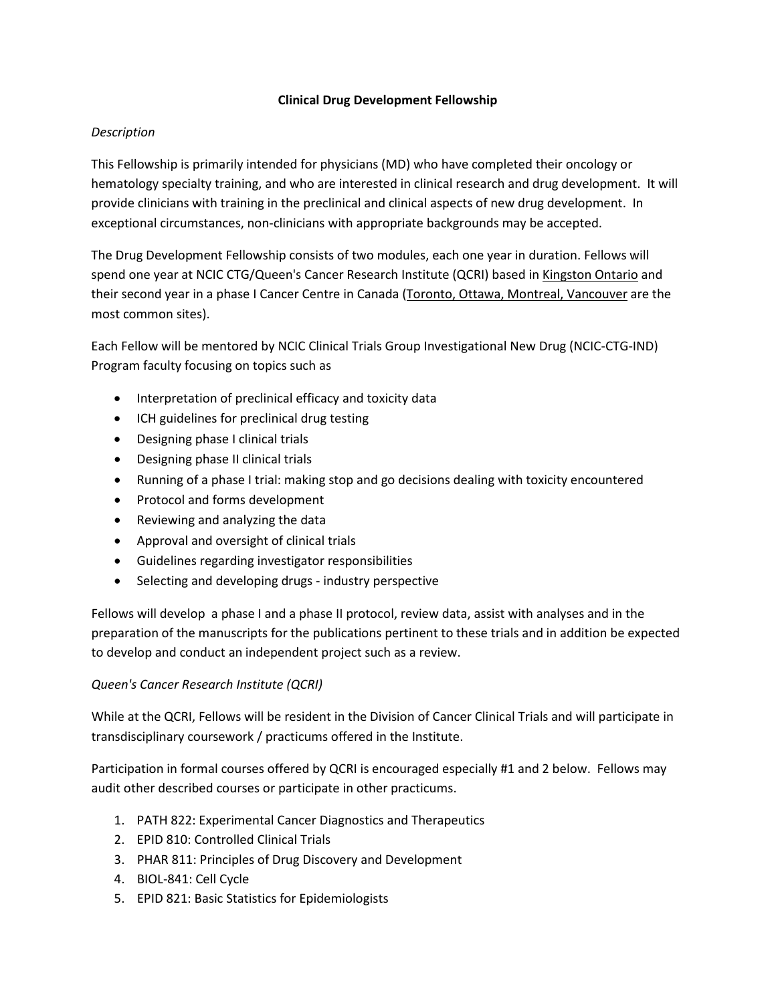### **Clinical Drug Development Fellowship**

### *Description*

This Fellowship is primarily intended for physicians (MD) who have completed their oncology or hematology specialty training, and who are interested in clinical research and drug development. It will provide clinicians with training in the preclinical and clinical aspects of new drug development. In exceptional circumstances, non-clinicians with appropriate backgrounds may be accepted.

The Drug Development Fellowship consists of two modules, each one year in duration. Fellows will spend one year at NCIC CTG/Queen's Cancer Research Institute (QCRI) based in Kingston Ontario and their second year in a phase I Cancer Centre in Canada (Toronto, Ottawa, Montreal, Vancouver are the most common sites).

Each Fellow will be mentored by NCIC Clinical Trials Group Investigational New Drug (NCIC-CTG-IND) Program faculty focusing on topics such as

- Interpretation of preclinical efficacy and toxicity data
- ICH guidelines for preclinical drug testing
- Designing phase I clinical trials
- Designing phase II clinical trials
- Running of a phase I trial: making stop and go decisions dealing with toxicity encountered
- Protocol and forms development
- Reviewing and analyzing the data
- Approval and oversight of clinical trials
- Guidelines regarding investigator responsibilities
- Selecting and developing drugs industry perspective

Fellows will develop a phase I and a phase II protocol, review data, assist with analyses and in the preparation of the manuscripts for the publications pertinent to these trials and in addition be expected to develop and conduct an independent project such as a review.

#### *Queen's Cancer Research Institute (QCRI)*

While at the QCRI, Fellows will be resident in the Division of Cancer Clinical Trials and will participate in transdisciplinary coursework / practicums offered in the Institute.

Participation in formal courses offered by QCRI is encouraged especially #1 and 2 below. Fellows may audit other described courses or participate in other practicums.

- 1. PATH 822: Experimental Cancer Diagnostics and Therapeutics
- 2. EPID 810: Controlled Clinical Trials
- 3. PHAR 811: Principles of Drug Discovery and Development
- 4. BIOL-841: Cell Cycle
- 5. EPID 821: Basic Statistics for Epidemiologists